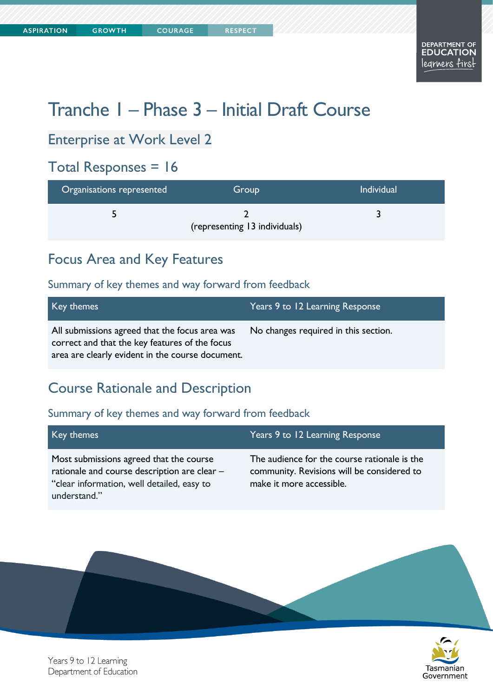# Tranche 1 – Phase 3 – Initial Draft Course

### Enterprise at Work Level 2

# Total Responses = 16

| Organisations represented | Group                         | Individual |
|---------------------------|-------------------------------|------------|
|                           | (representing 13 individuals) |            |

### Focus Area and Key Features

#### Summary of key themes and way forward from feedback

| Key themes                                                                                                                                           | Years 9 to 12 Learning Response      |
|------------------------------------------------------------------------------------------------------------------------------------------------------|--------------------------------------|
| All submissions agreed that the focus area was<br>correct and that the key features of the focus<br>area are clearly evident in the course document. | No changes required in this section. |

### Course Rationale and Description

#### Summary of key themes and way forward from feedback

| Key themes                                                                                                                                            | Years 9 to 12 Learning Response                                                                                        |
|-------------------------------------------------------------------------------------------------------------------------------------------------------|------------------------------------------------------------------------------------------------------------------------|
| Most submissions agreed that the course<br>rationale and course description are clear -<br>"clear information, well detailed, easy to<br>understand." | The audience for the course rationale is the<br>community. Revisions will be considered to<br>make it more accessible. |



Years 9 to 12 Learning Department of Education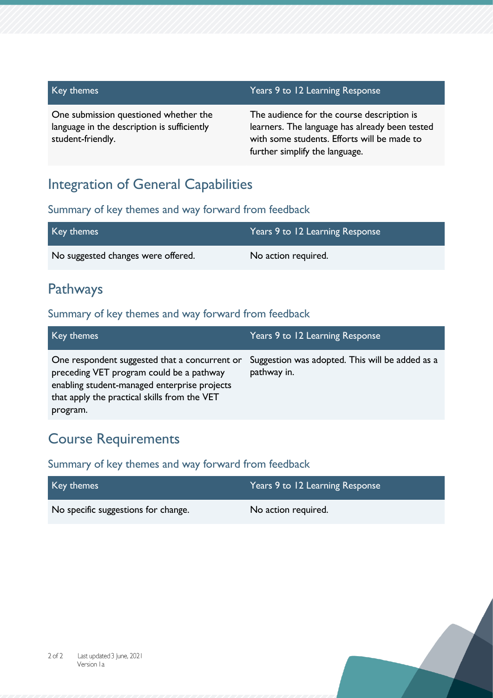| Key themes                                                                                                | Years 9 to 12 Learning Response                                                                                                                                               |
|-----------------------------------------------------------------------------------------------------------|-------------------------------------------------------------------------------------------------------------------------------------------------------------------------------|
| One submission questioned whether the<br>language in the description is sufficiently<br>student-friendly. | The audience for the course description is<br>learners. The language has already been tested<br>with some students. Efforts will be made to<br>further simplify the language. |

### Integration of General Capabilities

### Summary of key themes and way forward from feedback

| Key themes                         | Years 9 to 12 Learning Response |
|------------------------------------|---------------------------------|
| No suggested changes were offered. | No action required.             |

## Pathways

#### Summary of key themes and way forward from feedback

| Key themes                                                                                                                                                                                            | Years 9 to 12 Learning Response                                |
|-------------------------------------------------------------------------------------------------------------------------------------------------------------------------------------------------------|----------------------------------------------------------------|
| One respondent suggested that a concurrent or<br>preceding VET program could be a pathway<br>enabling student-managed enterprise projects<br>that apply the practical skills from the VET<br>program. | Suggestion was adopted. This will be added as a<br>pathway in. |

### Course Requirements

| Key themes                          | Years 9 to 12 Learning Response |
|-------------------------------------|---------------------------------|
| No specific suggestions for change. | No action required.             |

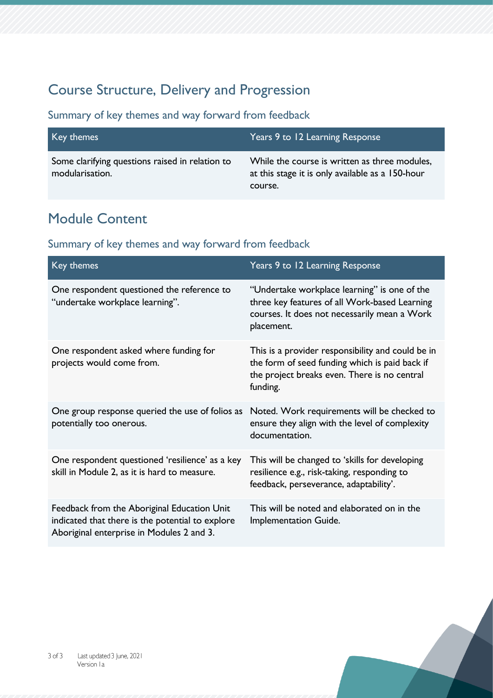# Course Structure, Delivery and Progression

Summary of key themes and way forward from feedback

| Key themes,                                                        | Years 9 to 12 Learning Response                                                                              |
|--------------------------------------------------------------------|--------------------------------------------------------------------------------------------------------------|
| Some clarifying questions raised in relation to<br>modularisation. | While the course is written as three modules,<br>at this stage it is only available as a 150-hour<br>course. |

# Module Content

| Key themes                                                                                                                                   | Years 9 to 12 Learning Response                                                                                                                                 |
|----------------------------------------------------------------------------------------------------------------------------------------------|-----------------------------------------------------------------------------------------------------------------------------------------------------------------|
| One respondent questioned the reference to<br>"undertake workplace learning".                                                                | "Undertake workplace learning" is one of the<br>three key features of all Work-based Learning<br>courses. It does not necessarily mean a Work<br>placement.     |
| One respondent asked where funding for<br>projects would come from.                                                                          | This is a provider responsibility and could be in<br>the form of seed funding which is paid back if<br>the project breaks even. There is no central<br>funding. |
| One group response queried the use of folios as<br>potentially too onerous.                                                                  | Noted. Work requirements will be checked to<br>ensure they align with the level of complexity<br>documentation.                                                 |
| One respondent questioned 'resilience' as a key<br>skill in Module 2, as it is hard to measure.                                              | This will be changed to 'skills for developing<br>resilience e.g., risk-taking, responding to<br>feedback, perseverance, adaptability'.                         |
| Feedback from the Aboriginal Education Unit<br>indicated that there is the potential to explore<br>Aboriginal enterprise in Modules 2 and 3. | This will be noted and elaborated on in the<br>Implementation Guide.                                                                                            |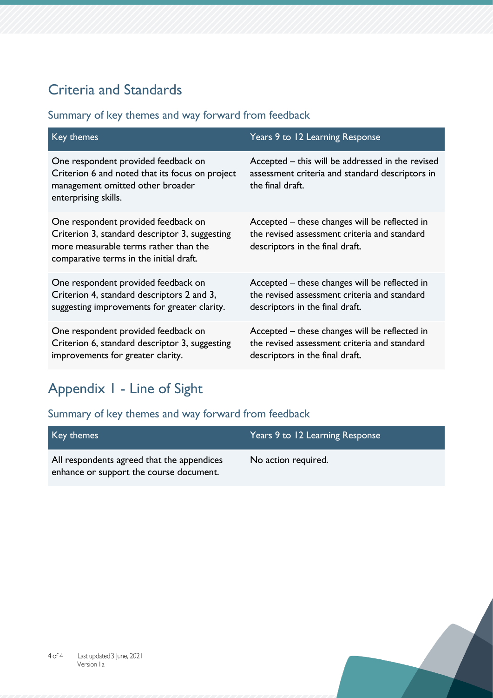# Criteria and Standards

### Summary of key themes and way forward from feedback

| Key themes                                                                                                                                                                | Years 9 to 12 Learning Response                                                                                                  |
|---------------------------------------------------------------------------------------------------------------------------------------------------------------------------|----------------------------------------------------------------------------------------------------------------------------------|
| One respondent provided feedback on<br>Criterion 6 and noted that its focus on project<br>management omitted other broader<br>enterprising skills.                        | Accepted – this will be addressed in the revised<br>assessment criteria and standard descriptors in<br>the final draft.          |
| One respondent provided feedback on<br>Criterion 3, standard descriptor 3, suggesting<br>more measurable terms rather than the<br>comparative terms in the initial draft. | Accepted – these changes will be reflected in<br>the revised assessment criteria and standard<br>descriptors in the final draft. |
| One respondent provided feedback on<br>Criterion 4, standard descriptors 2 and 3,<br>suggesting improvements for greater clarity.                                         | Accepted – these changes will be reflected in<br>the revised assessment criteria and standard<br>descriptors in the final draft. |
| One respondent provided feedback on<br>Criterion 6, standard descriptor 3, suggesting<br>improvements for greater clarity.                                                | Accepted – these changes will be reflected in<br>the revised assessment criteria and standard<br>descriptors in the final draft. |

# Appendix 1 - Line of Sight

| Key themes                                                                            | Years 9 to 12 Learning Response |
|---------------------------------------------------------------------------------------|---------------------------------|
| All respondents agreed that the appendices<br>enhance or support the course document. | No action required.             |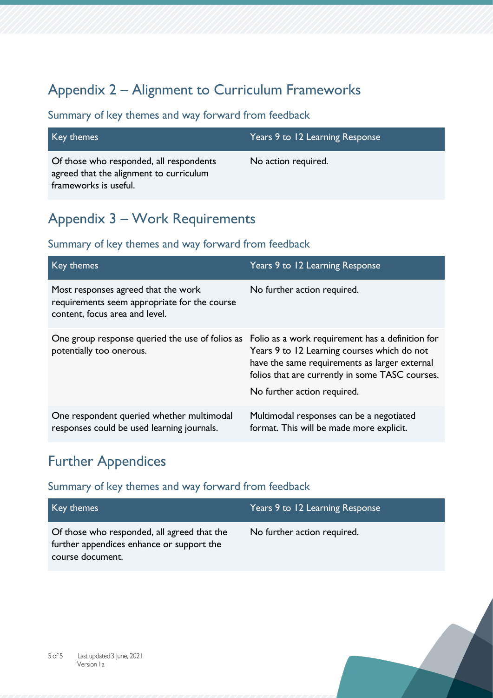# Appendix 2 – Alignment to Curriculum Frameworks

### Summary of key themes and way forward from feedback

| Key themes                                                                                                  | Years 9 to 12 Learning Response |
|-------------------------------------------------------------------------------------------------------------|---------------------------------|
| Of those who responded, all respondents<br>agreed that the alignment to curriculum<br>frameworks is useful. | No action required.             |

## Appendix 3 – Work Requirements

### Summary of key themes and way forward from feedback

| Key themes                                                                                                                   | Years 9 to 12 Learning Response                                                                                                                                                |
|------------------------------------------------------------------------------------------------------------------------------|--------------------------------------------------------------------------------------------------------------------------------------------------------------------------------|
| Most responses agreed that the work<br>requirements seem appropriate for the course<br>content, focus area and level.        | No further action required.                                                                                                                                                    |
| One group response queried the use of folios as Folio as a work requirement has a definition for<br>potentially too onerous. | Years 9 to 12 Learning courses which do not<br>have the same requirements as larger external<br>folios that are currently in some TASC courses.<br>No further action required. |
| One respondent queried whether multimodal<br>responses could be used learning journals.                                      | Multimodal responses can be a negotiated<br>format. This will be made more explicit.                                                                                           |

### Further Appendices

| Key themes                                                                                                   | Years 9 to 12 Learning Response |
|--------------------------------------------------------------------------------------------------------------|---------------------------------|
| Of those who responded, all agreed that the<br>further appendices enhance or support the<br>course document. | No further action required.     |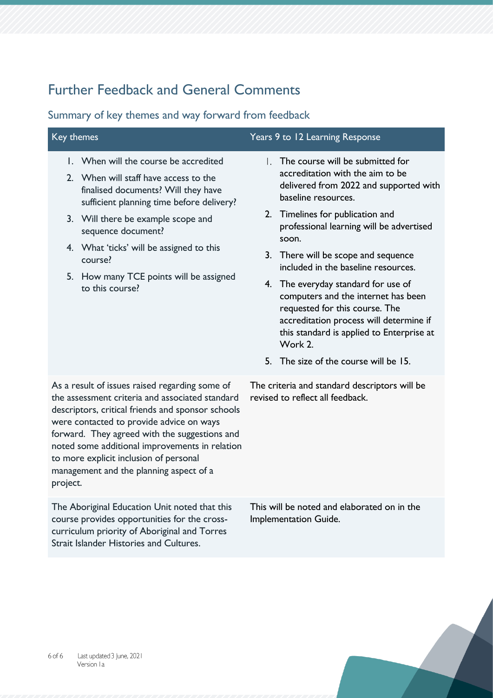# Further Feedback and General Comments

| Key themes |                                                                                                                                                                                                                                                                                                                                                                                            | Years 9 to 12 Learning Response                                                                                                                                                                                                                                                                                                                                                                                                                                                                                                                                                |
|------------|--------------------------------------------------------------------------------------------------------------------------------------------------------------------------------------------------------------------------------------------------------------------------------------------------------------------------------------------------------------------------------------------|--------------------------------------------------------------------------------------------------------------------------------------------------------------------------------------------------------------------------------------------------------------------------------------------------------------------------------------------------------------------------------------------------------------------------------------------------------------------------------------------------------------------------------------------------------------------------------|
|            | 1. When will the course be accredited<br>2. When will staff have access to the<br>finalised documents? Will they have<br>sufficient planning time before delivery?<br>3. Will there be example scope and<br>sequence document?<br>4. What 'ticks' will be assigned to this<br>course?<br>5. How many TCE points will be assigned<br>to this course?                                        | The course will be submitted for<br>L.<br>accreditation with the aim to be<br>delivered from 2022 and supported with<br>baseline resources.<br>2. Timelines for publication and<br>professional learning will be advertised<br>soon.<br>3. There will be scope and sequence<br>included in the baseline resources.<br>4. The everyday standard for use of<br>computers and the internet has been<br>requested for this course. The<br>accreditation process will determine if<br>this standard is applied to Enterprise at<br>Work 2.<br>5. The size of the course will be 15. |
| project.   | As a result of issues raised regarding some of<br>the assessment criteria and associated standard<br>descriptors, critical friends and sponsor schools<br>were contacted to provide advice on ways<br>forward. They agreed with the suggestions and<br>noted some additional improvements in relation<br>to more explicit inclusion of personal<br>management and the planning aspect of a | The criteria and standard descriptors will be<br>revised to reflect all feedback.                                                                                                                                                                                                                                                                                                                                                                                                                                                                                              |
|            | The Aboriginal Education Unit noted that this<br>course provides opportunities for the cross-<br>curriculum priority of Aboriginal and Torres<br>Strait Islander Histories and Cultures.                                                                                                                                                                                                   | This will be noted and elaborated on in the<br>Implementation Guide.                                                                                                                                                                                                                                                                                                                                                                                                                                                                                                           |